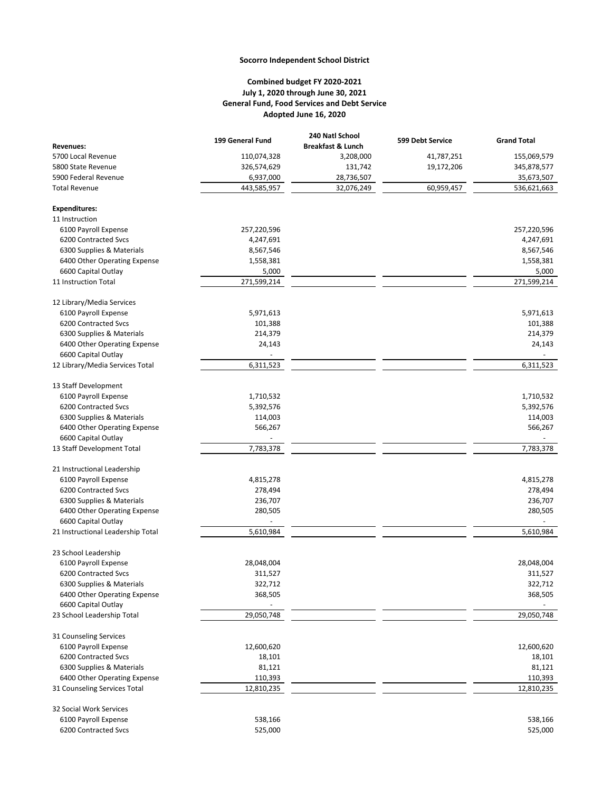## **Socorro Independent School District**

## **Combined budget FY 2020-2021 July 1, 2020 through June 30, 2021 General Fund, Food Services and Debt Service Adopted June 16, 2020**

| <b>Revenues:</b>                       | 199 General Fund | 240 Natl School<br><b>Breakfast &amp; Lunch</b> | 599 Debt Service | <b>Grand Total</b> |
|----------------------------------------|------------------|-------------------------------------------------|------------------|--------------------|
| 5700 Local Revenue                     | 110,074,328      | 3,208,000                                       | 41,787,251       | 155,069,579        |
| 5800 State Revenue                     | 326,574,629      | 131,742                                         | 19,172,206       | 345,878,577        |
| 5900 Federal Revenue                   | 6,937,000        | 28,736,507                                      |                  | 35,673,507         |
| <b>Total Revenue</b>                   | 443,585,957      | 32,076,249                                      | 60,959,457       | 536,621,663        |
|                                        |                  |                                                 |                  |                    |
| <b>Expenditures:</b><br>11 Instruction |                  |                                                 |                  |                    |
| 6100 Payroll Expense                   | 257,220,596      |                                                 |                  | 257,220,596        |
| 6200 Contracted Svcs                   | 4,247,691        |                                                 |                  | 4,247,691          |
| 6300 Supplies & Materials              | 8,567,546        |                                                 |                  | 8,567,546          |
| 6400 Other Operating Expense           | 1,558,381        |                                                 |                  | 1,558,381          |
| 6600 Capital Outlay                    | 5,000            |                                                 |                  | 5,000              |
| 11 Instruction Total                   | 271,599,214      |                                                 |                  | 271,599,214        |
|                                        |                  |                                                 |                  |                    |
| 12 Library/Media Services              |                  |                                                 |                  |                    |
| 6100 Payroll Expense                   | 5,971,613        |                                                 |                  | 5,971,613          |
| 6200 Contracted Svcs                   | 101,388          |                                                 |                  | 101,388            |
| 6300 Supplies & Materials              | 214,379          |                                                 |                  | 214,379            |
| 6400 Other Operating Expense           | 24,143           |                                                 |                  | 24,143             |
| 6600 Capital Outlay                    |                  |                                                 |                  |                    |
| 12 Library/Media Services Total        | 6,311,523        |                                                 |                  | 6,311,523          |
| 13 Staff Development                   |                  |                                                 |                  |                    |
| 6100 Payroll Expense                   | 1,710,532        |                                                 |                  | 1,710,532          |
| 6200 Contracted Svcs                   | 5,392,576        |                                                 |                  | 5,392,576          |
| 6300 Supplies & Materials              | 114,003          |                                                 |                  | 114,003            |
| 6400 Other Operating Expense           | 566,267          |                                                 |                  | 566,267            |
| 6600 Capital Outlay                    |                  |                                                 |                  |                    |
| 13 Staff Development Total             | 7,783,378        |                                                 |                  | 7,783,378          |
| 21 Instructional Leadership            |                  |                                                 |                  |                    |
| 6100 Payroll Expense                   | 4,815,278        |                                                 |                  | 4,815,278          |
| 6200 Contracted Svcs                   | 278,494          |                                                 |                  | 278,494            |
| 6300 Supplies & Materials              | 236,707          |                                                 |                  | 236,707            |
| 6400 Other Operating Expense           | 280,505          |                                                 |                  | 280,505            |
| 6600 Capital Outlay                    |                  |                                                 |                  |                    |
| 21 Instructional Leadership Total      | 5,610,984        |                                                 |                  | 5,610,984          |
|                                        |                  |                                                 |                  |                    |
| 23 School Leadership                   |                  |                                                 |                  |                    |
| 6100 Payroll Expense                   | 28,048,004       |                                                 |                  | 28,048,004         |
| 6200 Contracted Svcs                   | 311,527          |                                                 |                  | 311,527            |
| 6300 Supplies & Materials              | 322,712          |                                                 |                  | 322,712            |
| 6400 Other Operating Expense           | 368,505          |                                                 |                  | 368,505            |
| 6600 Capital Outlay                    |                  |                                                 |                  |                    |
| 23 School Leadership Total             | 29,050,748       |                                                 |                  | 29,050,748         |
| 31 Counseling Services                 |                  |                                                 |                  |                    |
| 6100 Payroll Expense                   | 12,600,620       |                                                 |                  | 12,600,620         |
| 6200 Contracted Svcs                   | 18,101           |                                                 |                  | 18,101             |
| 6300 Supplies & Materials              | 81,121           |                                                 |                  | 81,121             |
| 6400 Other Operating Expense           | 110,393          |                                                 |                  | 110,393            |
| 31 Counseling Services Total           | 12,810,235       |                                                 |                  | 12,810,235         |
| 32 Social Work Services                |                  |                                                 |                  |                    |
| 6100 Payroll Expense                   | 538,166          |                                                 |                  | 538,166            |
| 6200 Contracted Svcs                   | 525,000          |                                                 |                  | 525,000            |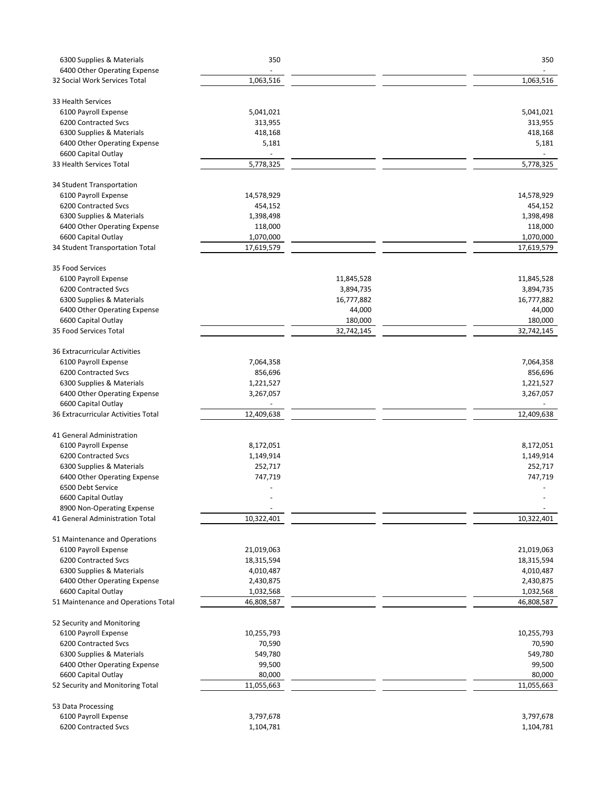| 6300 Supplies & Materials                                     | 350                |            | 350        |
|---------------------------------------------------------------|--------------------|------------|------------|
| 6400 Other Operating Expense                                  |                    |            |            |
| 32 Social Work Services Total                                 | 1,063,516          |            | 1,063,516  |
| 33 Health Services                                            |                    |            |            |
| 6100 Payroll Expense                                          | 5,041,021          |            | 5,041,021  |
| 6200 Contracted Svcs                                          | 313,955            |            | 313,955    |
| 6300 Supplies & Materials                                     | 418,168            |            | 418,168    |
| 6400 Other Operating Expense                                  | 5,181              |            | 5,181      |
| 6600 Capital Outlay                                           |                    |            |            |
| 33 Health Services Total                                      | 5,778,325          |            | 5,778,325  |
|                                                               |                    |            |            |
| 34 Student Transportation                                     |                    |            |            |
| 6100 Payroll Expense                                          | 14,578,929         |            | 14,578,929 |
| 6200 Contracted Svcs                                          | 454,152            |            | 454,152    |
| 6300 Supplies & Materials                                     | 1,398,498          |            | 1,398,498  |
| 6400 Other Operating Expense                                  | 118,000            |            | 118,000    |
| 6600 Capital Outlay                                           | 1,070,000          |            | 1,070,000  |
| 34 Student Transportation Total                               | 17,619,579         |            | 17,619,579 |
| 35 Food Services                                              |                    |            |            |
| 6100 Payroll Expense                                          |                    | 11,845,528 | 11,845,528 |
| 6200 Contracted Svcs                                          |                    | 3,894,735  | 3,894,735  |
| 6300 Supplies & Materials                                     |                    | 16,777,882 | 16,777,882 |
| 6400 Other Operating Expense                                  |                    | 44,000     | 44,000     |
| 6600 Capital Outlay                                           |                    | 180,000    | 180,000    |
| 35 Food Services Total                                        |                    | 32,742,145 | 32,742,145 |
|                                                               |                    |            |            |
| 36 Extracurricular Activities                                 |                    |            |            |
| 6100 Payroll Expense                                          | 7,064,358          |            | 7,064,358  |
| 6200 Contracted Svcs                                          | 856,696            |            | 856,696    |
| 6300 Supplies & Materials                                     | 1,221,527          |            | 1,221,527  |
| 6400 Other Operating Expense<br>6600 Capital Outlay           | 3,267,057          |            | 3,267,057  |
| 36 Extracurricular Activities Total                           | 12,409,638         |            | 12,409,638 |
| 41 General Administration                                     |                    |            |            |
| 6100 Payroll Expense                                          | 8,172,051          |            | 8,172,051  |
| 6200 Contracted Svcs                                          | 1,149,914          |            | 1,149,914  |
| 6300 Supplies & Materials                                     |                    |            | 252,717    |
| 6400 Other Operating Expense                                  | 252,717<br>747,719 |            | 747,719    |
|                                                               |                    |            |            |
| 6500 Debt Service                                             |                    |            |            |
| 6600 Capital Outlay                                           |                    |            |            |
| 8900 Non-Operating Expense<br>41 General Administration Total | 10,322,401         |            | 10,322,401 |
|                                                               |                    |            |            |
| 51 Maintenance and Operations                                 |                    |            |            |
| 6100 Payroll Expense                                          | 21,019,063         |            | 21,019,063 |
| 6200 Contracted Svcs                                          | 18,315,594         |            | 18,315,594 |
| 6300 Supplies & Materials                                     | 4,010,487          |            | 4,010,487  |
| 6400 Other Operating Expense                                  | 2,430,875          |            | 2,430,875  |
| 6600 Capital Outlay                                           | 1,032,568          |            | 1,032,568  |
| 51 Maintenance and Operations Total                           | 46,808,587         |            | 46,808,587 |
|                                                               |                    |            |            |
| 52 Security and Monitoring                                    |                    |            |            |
| 6100 Payroll Expense                                          | 10,255,793         |            | 10,255,793 |
| 6200 Contracted Svcs                                          | 70,590             |            | 70,590     |
| 6300 Supplies & Materials                                     | 549,780            |            | 549,780    |
| 6400 Other Operating Expense                                  | 99,500             |            | 99,500     |
| 6600 Capital Outlay                                           | 80,000             |            | 80,000     |
| 52 Security and Monitoring Total                              | 11,055,663         |            | 11,055,663 |
| 53 Data Processing                                            |                    |            |            |
| 6100 Payroll Expense                                          | 3,797,678          |            | 3,797,678  |
| 6200 Contracted Svcs                                          | 1,104,781          |            | 1,104,781  |
|                                                               |                    |            |            |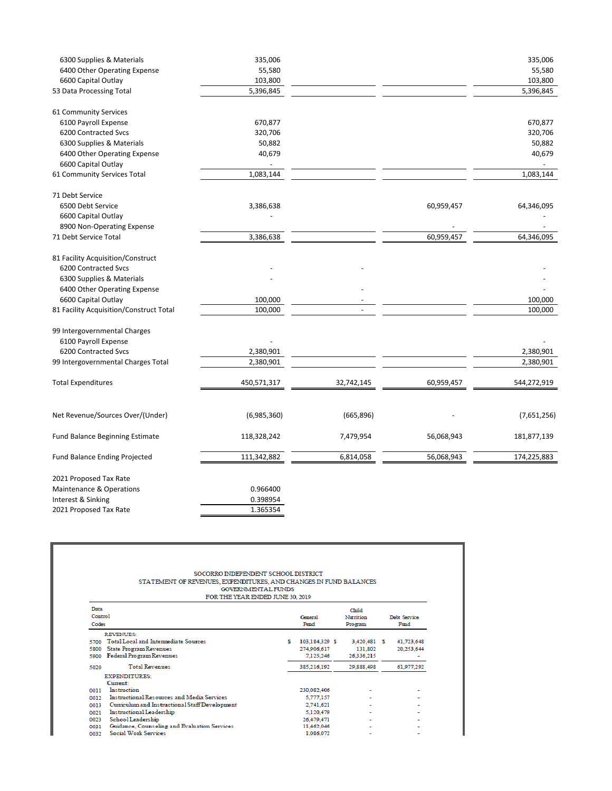| 6300 Supplies & Materials               | 335,006     |            |            | 335,006     |
|-----------------------------------------|-------------|------------|------------|-------------|
| 6400 Other Operating Expense            | 55,580      |            |            | 55,580      |
| 6600 Capital Outlay                     | 103,800     |            |            | 103,800     |
| 53 Data Processing Total                | 5,396,845   |            |            | 5,396,845   |
| 61 Community Services                   |             |            |            |             |
| 6100 Payroll Expense                    | 670,877     |            |            | 670,877     |
| 6200 Contracted Svcs                    | 320,706     |            |            | 320,706     |
| 6300 Supplies & Materials               | 50,882      |            |            | 50,882      |
| 6400 Other Operating Expense            | 40,679      |            |            | 40,679      |
| 6600 Capital Outlay                     |             |            |            |             |
| 61 Community Services Total             | 1,083,144   |            |            | 1,083,144   |
| 71 Debt Service                         |             |            |            |             |
| 6500 Debt Service                       | 3,386,638   |            | 60,959,457 | 64,346,095  |
| 6600 Capital Outlay                     |             |            |            |             |
| 8900 Non-Operating Expense              |             |            |            |             |
| 71 Debt Service Total                   | 3,386,638   |            | 60,959,457 | 64,346,095  |
| 81 Facility Acquisition/Construct       |             |            |            |             |
| 6200 Contracted Svcs                    |             |            |            |             |
| 6300 Supplies & Materials               |             |            |            |             |
| 6400 Other Operating Expense            |             |            |            |             |
| 6600 Capital Outlay                     | 100,000     |            |            | 100,000     |
| 81 Facility Acquisition/Construct Total | 100,000     |            |            | 100,000     |
| 99 Intergovernmental Charges            |             |            |            |             |
| 6100 Payroll Expense                    |             |            |            |             |
| 6200 Contracted Svcs                    | 2,380,901   |            |            | 2,380,901   |
| 99 Intergovernmental Charges Total      | 2,380,901   |            |            | 2,380,901   |
| <b>Total Expenditures</b>               | 450,571,317 | 32,742,145 | 60,959,457 | 544,272,919 |
|                                         |             |            |            |             |
| Net Revenue/Sources Over/(Under)        | (6,985,360) | (665, 896) |            | (7,651,256) |
| <b>Fund Balance Beginning Estimate</b>  | 118,328,242 | 7,479,954  | 56,068,943 | 181,877,139 |
| <b>Fund Balance Ending Projected</b>    | 111,342,882 | 6,814,058  | 56,068,943 | 174,225,883 |
| 2021 Proposed Tax Rate                  |             |            |            |             |
| Maintenance & Operations                | 0.966400    |            |            |             |
| Interest & Sinking                      | 0.398954    |            |            |             |
| 2021 Proposed Tax Rate                  | 1.365354    |            |            |             |
|                                         |             |            |            |             |

| SOCORRO INDEPENDENT SCHOOL DISTRICT<br>STATEMENT OF REVENUES, EXPENDITURES, AND CHANGES IN FUND BALANCES<br><b>GOVERNMENTAL FUNDS</b><br>FOR THE YEAR ENDED JUNE 30, 2019 |    |                 |                                      |                      |
|---------------------------------------------------------------------------------------------------------------------------------------------------------------------------|----|-----------------|--------------------------------------|----------------------|
| Data<br>Control<br>Codes                                                                                                                                                  |    | General<br>Fund | Child<br><b>Nutrition</b><br>Program | Debt Service<br>Fund |
| <b>REVENUES:</b>                                                                                                                                                          |    |                 |                                      |                      |
| <b>Total Local and Intermediate Sources</b><br>5700                                                                                                                       | s. | 103.184.329 \$  | 3,420,481 \$                         | 41,723,648           |
| <b>State Program Revenues</b><br>5800                                                                                                                                     |    | 274,906,617     | 131.802                              | 20.253.644           |
| Federal Program Revenues<br>5900                                                                                                                                          |    | 7.125.246       | 26.336.215                           |                      |
| <b>Total Revenues</b><br>5020                                                                                                                                             |    | 385.216.192     | 29.888.498                           | 61.977.292           |
| <b>EXPENDITURES:</b>                                                                                                                                                      |    |                 |                                      |                      |
| Current:                                                                                                                                                                  |    |                 |                                      |                      |
| Instruction<br>0011                                                                                                                                                       |    | 230.082.406     |                                      |                      |
| Instructional Resources and Media Services<br>0012                                                                                                                        |    | 5.777.157       |                                      |                      |
| Curriculum and Instructional Staff Development<br>0013                                                                                                                    |    | 2.741.621       |                                      |                      |
| Instructional Leadership<br>0021                                                                                                                                          |    | 5.120.479       | ۰                                    |                      |
| School Leadership<br>0023                                                                                                                                                 |    | 26,479,471      |                                      |                      |
| Guidance, Counseling and Evaluation Services<br>0031                                                                                                                      |    | 11.462.046      |                                      |                      |
| <b>Social Work Services</b><br>0032                                                                                                                                       |    | 1.086.072       |                                      |                      |